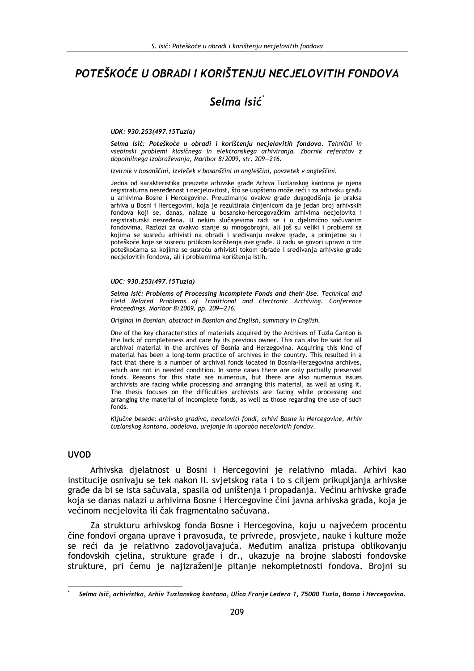# POTEŠKOĆE U OBRADI I KORIŠTENJU NECJELOVITIH FONDOVA

# Selma Isić

#### UDK: 930.253(497.15Tuzla)

Selma Isić: Poteškoće u obradi i korištenju necjelovitih fondova. Tehnični in vsebinski problemi klasičnega in elektronskega arhiviranja. Zbornik referatov z dopolnilnega izobraževanja, Maribor 8/2009, str. 209-216.

Izvirnik v bosanščini, izvleček v bosanščini in angleščini, povzetek v angleščini.

Jedna od karakteristika preuzete arhivske građe Arhiva Tuzlanskog kantona je njena registraturna nesređenost i necjelovitost, što se uopšteno može reći i za arhivsku građu u arhivima Bosne i Hercegovine. Preuzimanje ovakve građe dugogodišnja je praksa arhiva u Bosni i Hercegovini, koja je rezultirala činjenicom da je jedan broj arhivskih fondova koji se, danas, nalaze u bosansko-hercegovačkim arhivima necjelovita i registraturski nesređena. U nekim slučajevima radi se i o djelimično sačuvanim fondovima. Razlozi za ovakvo stanje su mnogobrojni, ali još su veliki i problemi sa kojima se susreću arhivisti na obradi i sređivanju ovakve građe, a primjetne su i poteškoće koje se susreću prilikom korištenja ove građe. U radu se govori upravo o tim poteškoćama sa kojima se susreću arhivisti tokom obrade i sređivanja arhivske građe necjelovitih fondova, ali i problemima korištenja istih.

#### UDC: 930.253(497.15Tuzla)

Selma Isić: Problems of Processing Incomplete Fonds and their Use. Technical and Field Related Problems of Traditional and Electronic Archiving. Conference Proceedings, Maribor 8/2009, pp. 209-216.

Original in Bosnian, abstract in Bosnian and Fnglish, summary in Fnglish.

One of the key characteristics of materials acquired by the Archives of Tuzla Canton is the lack of completeness and care by its previous owner. This can also be said for all archival material in the archives of Bosnia and Herzegovina. Acquiring this kind of material has been a long-term practice of archives in the country. This resulted in a fact that there is a number of archival fonds located in Bosnia-Herzegovina archives, which are not in needed condition. In some cases there are only partially preserved fonds. Reasons for this state are numerous, but there are also numerous issues archivists are facing while processing and arranging this material, as well as using it. The thesis focuses on the difficulties archivists are facing while processing and arranging the material of incomplete fonds, as well as those regarding the use of such fonds.

Ključne besede: arhivsko gradivo, neceloviti fondi, arhivi Bosne in Hercegovine, Arhiv tuzlanskog kantona, obdelava, urejanje in uporaba necelovitih fondov.

#### **LIVOD**

Arhivska djelatnost u Bosni i Hercegovini je relativno mlada. Arhivi kao institucije osnivaju se tek nakon II. svjetskog rata i to s ciljem prikupljanja arhivske građe da bi se ista sačuvala, spasila od uništenja i propadanja. Većinu arhivske građe koja se danas nalazi u arhivima Bosne i Hercegovine čini javna arhivska građa, koja je većinom necjelovita ili čak fragmentalno sačuvana.

Za strukturu arhivskog fonda Bosne i Hercegovina, koju u najvećem procentu čine fondovi organa uprave i pravosuđa, te privrede, prosvjete, nauke i kulture može se reći da je relativno zadovoljavajuća. Međutim analiza pristupa oblikovanju fondovskih cjelina, strukture građe i dr., ukazuje na brojne slabosti fondovske strukture, pri čemu je najizraženije pitanje nekompletnosti fondova. Brojni su

Selma Isić, arhivistka, Arhiv Tuzlanskog kantona, Ulica Franje Ledera 1, 75000 Tuzla, Bosna i Hercegovina.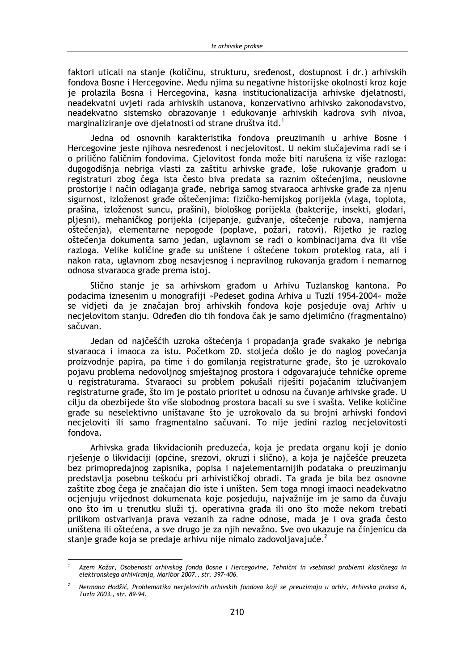faktori uticali na stanje (količinu, strukturu, sređenost, dostupnost i dr.) arhivskih fondova Bosne i Hercegovine. Među njima su negativne historijske okolnosti kroz koje je prolazila Bosna i Hercegovina, kasna institucionalizacija arhivske djelatnosti, neadekvatni uvieti rada arhivskih ustanova, konzervativno arhivsko zakonodavstvo, neadekvatno sistemsko obrazovanje i edukovanje arhivskih kadrova svih nivoa, marginaliziranje ove djelatnosti od strane društva itd.<sup>1</sup>

Jedna od osnovnih karakteristika fondova preuzimanih u arhive Bosne i Hercegovine jeste njihova nesređenost i necjelovitost. U nekim slučajevima radi se i o prilično faličnim fondovima. Cjelovitost fonda može biti narušena iz više razloga: dugogodišnja nebriga vlasti za zaštitu arhivske građe, loše rukovanje građom u registraturi zbog čega ista često biva predata sa raznim oštećenjima, neuslovne prostorije i način odlaganja građe, nebriga samog stvaraoca arhivske građe za njenu sigurnost, izloženost građe oštečenjima: fizičko-hemijskog porijekla (vlaga, toplota, prašina, izloženost suncu, prašini), biološkog porijekla (bakterije, insekti, glodari, pljesni), mehaničkog porijekla (cijepanje, gužvanje, oštečenje rubova, namjerna oštečenja), elementarne nepogode (poplave, požari, ratovi). Rijetko je razlog oštečenja dokumenta samo jedan, uglavnom se radi o kombinacijama dva ili više razloga. Velike količine građe su uništene i oštećene tokom proteklog rata, ali i nakon rata, uglavnom zbog nesavjesnog i nepravilnog rukovanja građom i nemarnog odnosa stvaraoca građe prema istoj.

Slično stanje je sa arhivskom građom u Arhivu Tuzlanskog kantona. Po podacima iznesenim u monografiji »Pedeset godina Arhiva u Tuzli 1954-2004« može se vidjeti da je značajan broj arhivskih fondova koje posjeduje ovaj Arhiv u necjelovitom stanju. Određen dio tih fondova čak je samo djelimično (fragmentalno) sačuvan.

Jedan od najčešćih uzroka oštećenja i propadanja građe svakako je nebriga stvaraoca i imaoca za istu. Početkom 20. stolieća došlo je do naglog povećanja proizvodnje papira, pa time i do gomilanja registraturne građe, što je uzrokovalo pojavu problema nedovoljnog smještajnog prostora i odgovarajuće tehničke opreme u registraturama. Stvaraoci su problem pokušali riješiti pojačanim izlučivanjem registraturne građe, što im je postalo prioritet u odnosu na čuvanje arhivske građe. U cilju da obezbijede što više slobodnog prostora bacali su sve i svašta. Velike količine građe su neselektivno uništavane što je uzrokovalo da su brojni arhivski fondovi necjeloviti ili samo fragmentalno sačuvani. To nije jedini razlog necjelovitosti fondova.

Arhivska građa likvidacionih preduzeća, koja je predata organu koji je donio rješenje o likvidaciji (općine, srezovi, okruzi i slično), a koja je najčešće preuzeta bez primopredajnog zapisnika, popisa i najelementarnijih podataka o preuzimanju predstavlja posebnu teškoću pri arhivističkoj obradi. Ta građa je bila bez osnovne zaštite zbog čega je značajan dio iste i uništen. Sem toga mnogi imaoci neadekvatno ocjenjuju vrijednost dokumenata koje posjeduju, najvažnije im je samo da čuvaju ono što im u trenutku služi tj. operativna građa ili ono što može nekom trebati prilikom ostvarivanja prava vezanih za radne odnose, mada je i ova građa često uništena ili oštećena, a sve drugo je za njih nevažno. Sve ovo ukazuje na činjenicu da stanje građe koja se predaje arhivu nije nimalo zadovoljavajuće.<sup>2</sup>

Azem Kožar, Osobenosti arhivskog fonda Bosne i Hercegovine, Tehnični in vsebinski problemi klasičnega in elektronskega arhiviranja, Maribor 2007., str. 397-406.

Nermana Hodžić, Problematika necjelovitih arhivskih fondova koji se preuzimaju u arhiv, Arhivska praksa 6, Tuzla 2003., str. 89-94.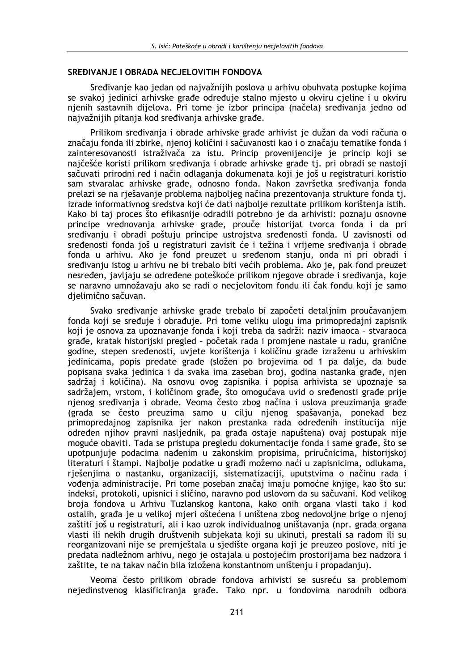#### SREĐIVANJE I OBRADA NECJELOVITIH FONDOVA

Sređivanie kao jedan od najvažnijih poslova u arhivu obuhvata postupke kojima se svakoj jedinici arhivske građe određuje stalno mjesto u okviru cjeline i u okviru njenih sastavnih dijelova. Pri tome je izbor principa (načela) sređivanja jedno od najvažnijih pitanja kod sređivanja arhivske građe.

Prilikom sređivanja i obrade arhivske građe arhivist je dužan da vodi računa o značaju fonda ili zbirke, njenoj količini i sačuvanosti kao i o značaju tematike fonda i zainteresovanosti istraživača za istu. Princip provenijencije je princip koji se najčešće koristi prilikom sređivanja i obrade arhivske građe tj. pri obradi se nastoji sačuvati prirodni red i način odlaganja dokumenata koji je još u registraturi koristio sam stvaralac arhivske građe, odnosno fonda. Nakon završetka sređivanja fonda prelazi se na rješavanje problema najboljeg načina prezentovanja strukture fonda tj. izrade informativnog sredstva koji će dati najbolje rezultate prilikom korištenja istih. Kako bi taj proces što efikasnije odradili potrebno je da arhivisti: poznaju osnovne principe vrednovanja arhivske građe, prouče historijat tvorca fonda i da pri sređivanju i obradi poštuju principe ustrojstva sređenosti fonda. U zavisnosti od sređenosti fonda još u registraturi zavisit će i težina i vrijeme sređivanja i obrade fonda u arhivu. Ako je fond preuzet u sređenom stanju, onda ni pri obradi i sređivanju istog u arhivu ne bi trebalo biti većih problema. Ako je, pak fond preuzet nesređen, javljaju se određene poteškoće prilikom njegove obrade i sređivanja, koje se naravno umnožavaju ako se radi o necjelovitom fondu ili čak fondu koji je samo dielimično sačuvan.

Svako sređivanje arhivske građe trebalo bi započeti detaljnim proučavanjem fonda koji se sređuje i obrađuje. Pri tome veliku ulogu ima primopredajni zapisnik koji je osnova za upoznavanje fonda i koji treba da sadrži: naziv imaoca - stvaraoca građe, kratak historijski pregled - početak rada i promjene nastale u radu, granične godine, stepen sređenosti, uviete korištenia i količinu građe izraženu u arhivskim jedinicama, popis predate građe (složen po brojevima od 1 pa dalje, da bude popisana svaka jedinica i da svaka ima zaseban broj, godina nastanka građe, njen sadržaj i količina). Na osnovu ovog zapisnika i popisa arhivista se upoznaje sa sadržajem, vrstom, i količinom građe, što omogućava uvid o sređenosti građe prije njenog sređivanja i obrade. Veoma često zbog načina i uslova preuzimanja građe (građa se često preuzima samo u cilju njenog spašavanja, ponekad bez primopredajnog zapisnika jer nakon prestanka rada određenih institucija nije određen njihov pravni nasljednik, pa građa ostaje napuštena) ovaj postupak nije moguće obaviti. Tada se pristupa pregledu dokumentacije fonda i same građe, što se upotpunjuje podacima nađenim u zakonskim propisima, priručnicima, historijskoj literaturi i štampi. Najbolje podatke u građi možemo naći u zapisnicima, odlukama, rješenjima o nastanku, organizaciji, sistematizaciji, uputstvima o načinu rada i vođenja administracije. Pri tome poseban značaj imaju pomoćne knjige, kao što su: indeksi, protokoli, upisnici i sličino, naravno pod uslovom da su sačuvani. Kod velikog broja fondova u Arhivu Tuzlanskog kantona, kako onih organa vlasti tako i kod ostalih, građa je u velikoj mjeri oštećena i uništena zbog nedovoljne brige o njenoj zaštiti još u registraturi, ali i kao uzrok individualnog uništavanja (npr. građa organa vlasti ili nekih drugih društvenih subjekata koji su ukinuti, prestali sa radom ili su reorganizovani nije se premještala u sjedište organa koji je preuzeo poslove, niti je predata nadležnom arhivu, nego je ostajala u postojećim prostorijama bez nadzora i zaštite, te na takav način bila izložena konstantnom uništenju i propadanju).

Veoma često prilikom obrade fondova arhivisti se susreću sa problemom nejedinstvenog klasificiranja građe. Tako npr. u fondovima narodnih odbora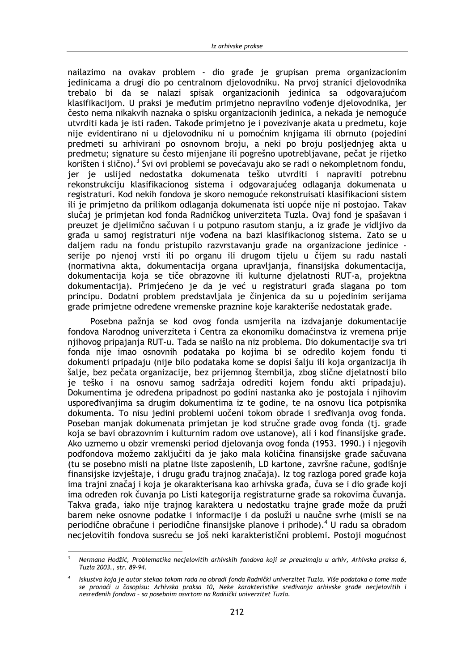nailazimo na ovakav problem - dio građe je grupisan prema organizacionim jedinicama a drugi dio po centralnom djelovodniku. Na prvoj stranici djelovodnika trebalo bi da se nalazi spisak organizacionih jedinica sa odgovarajućom klasifikacijom. U praksi je međutim primjetno nepravilno vođenje djelovodnika, jer često nema nikakvih naznaka o spisku organizacionih jedinica, a nekada je nemoguće utvrditi kada je isti rađen. Takođe primjetno je i povezivanje akata u predmetu, koje nije evidentirano ni u djelovodniku ni u pomoćnim knjigama ili obrnuto (pojedini predmeti su arhivirani po osnovnom broju, a neki po broju posljednjeg akta u predmetu; signature su često mijenjane ili pogrešno upotrebljavane, pečat je rijetko korišten i slično).<sup>3</sup> Svi ovi problemi se povećavaju ako se radi o nekompletnom fondu, jer je uslijed nedostatka dokumenata teško utvrditi i napraviti potrebnu rekonstrukciju klasifikacionog sistema i odgovarajućeg odlaganja dokumenata u registraturi. Kod nekih fondova je skoro nemoguće rekonstruisati klasifikacioni sistem ili je primjetno da prilikom odlaganja dokumenata isti uopće nije ni postojao. Takav slučaj je primjetan kod fonda Radničkog univerziteta Tuzla. Ovaj fond je spašavan i preuzet je djelimično sačuvan i u potpuno rasutom stanju, a iz građe je vidljivo da građa u samoj registraturi nije vođena na bazi klasifikacionog sistema. Zato se u daljem radu na fondu pristupilo razvrstavanju građe na organizacione jedinice serije po njenoj vrsti ili po organu ili drugom tijelu u čijem su radu nastali (normativna akta, dokumentacija organa upravljanja, finansijska dokumentacija, dokumentacija koja se tiče obrazovne ili kulturne djelatnosti RUT-a, projektna dokumentacija). Primjećeno je da je već u registraturi građa slagana po tom principu. Dodatni problem predstavljala je činjenica da su u pojedinim serijama građe primjetne određene vremenske praznine koje karakteriše nedostatak građe.

Posebna pažnja se kod ovog fonda usmjerila na izdvajanje dokumentacije fondova Narodnog univerziteta i Centra za ekonomiku domaćinstva iz vremena prije njihovog pripajanja RUT-u. Tada se naišlo na niz problema. Dio dokumentacije sva tri fonda nije imao osnovnih podataka po kojima bi se odredilo kojem fondu ti dokumenti pripadaju (nije bilo podataka kome se dopisi šalju ili koja organizacija ih šalie, bez pečata organizacije, bez prijemnog štembilja, zbog slične djelatnosti bilo je teško i na osnovu samog sadržaja odrediti kojem fondu akti pripadaju). Dokumentima je određena pripadnost po godini nastanka ako je postojala i njihovim uspoređivanjima sa drugim dokumentima iz te godine, te na osnovu lica potpisnika dokumenta. To nisu jedini problemi uočeni tokom obrade i sređivanja ovog fonda. Poseban manjak dokumenata primjetan je kod stručne građe ovog fonda (tj. građe koja se bavi obrazovnim i kulturnim radom ove ustanove), ali i kod finansijske građe. Ako uzmemo u obzir vremenski period djelovanja ovog fonda (1953.-1990.) i njegovih podfondova možemo zaključiti da je jako mala količina finansijske građe sačuvana (tu se posebno misli na platne liste zaposlenih, LD kartone, završne račune, godišnje finansijske izvještaje, i drugu građu trajnog značaja). Iz tog razloga pored građe koja ima trajni značaj i koja je okarakterisana kao arhivska građa, čuva se i dio građe koji ima određen rok čuvanja po Listi kategorija registraturne građe sa rokovima čuvanja. Takva građa, iako nije trajnog karaktera u nedostatku trajne građe može da pruži barem neke osnovne podatke i informacije i da posluži u naučne svrhe (misli se na periodične obračune i periodične finansijske planove i prihode).<sup>4</sup> U radu sa obradom necjelovitih fondova susreću se još neki karakteristični problemi. Postoji mogućnost

 $\overline{z}$ Nermana Hodžić, Problematika necjelovitih arhivskih fondova koji se preuzimaju u arhiv, Arhivska praksa 6, Tuzla 2003., str. 89-94.

Iskustva koja je autor stekao tokom rada na obradi fonda Radnički univerzitet Tuzla. Više podataka o tome može se pronaći u časopisu: Arhivska praksa 10, Neke karakteristike sređivanja arhivske građe necjelovitih i nesređenih fondova - sa posebnim osvrtom na Radnički univerzitet Tuzla.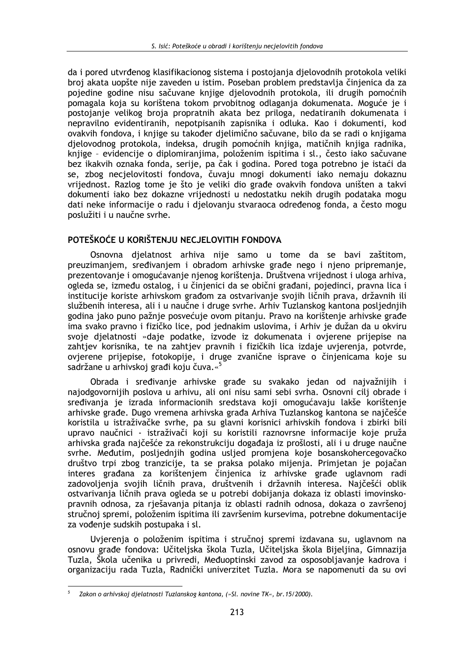da i pored utvrđenog klasifikacionog sistema i postojanja djelovodnih protokola veliki broj akata uopšte nije zaveden u istim. Poseban problem predstavlja činjenica da za pojedine godine nisu sačuvane knijge dielovodnih protokola, ili drugih pomoćnih pomagala koja su korištena tokom prvobitnog odlaganja dokumenata. Moguće je j postojanje velikog broja propratnih akata bez priloga, nedatiranih dokumenata i nepravilno evidentiranih, nepotpisanih zapisnika i odluka. Kao i dokumenti, kod ovakvih fondova, i knjige su također djelimično sačuvane, bilo da se radi o knjigama djelovodnog protokola, indeksa, drugih pomoćnih knjiga, matičnih knjiga radnika, knjige - evidencije o diplomiranjima, položenim ispitima i sl., često jako sačuvane bez ikakvih oznaka fonda, serije, pa čak i godina. Pored toga potrebno je istaći da se, zbog necjelovitosti fondova, čuvaju mnogi dokumenti iako nemaju dokaznu vrijednost. Razlog tome je što je veliki dio građe ovakvih fondova uništen a takvi dokumenti iako bez dokazne vrijednosti u nedostatku nekih drugih podataka mogu dati neke informacije o radu i djelovanju stvaraoca određenog fonda, a često mogu poslužiti i u naučne svrhe.

## POTEŠKOĆE U KORIŠTENJU NECJELOVITIH FONDOVA

Osnovna djelatnost arhiva nije samo u tome da se bavi zaštitom, preuzimanjem, sređivanjem i obradom arhivske građe nego i njeno pripremanje, prezentovanje i omogućavanje njenog korištenja. Društvena vrijednost i uloga arhiva, ogleda se, između ostalog, i u činjenici da se obični građani, pojedinci, pravna lica i institucije koriste arhivskom građom za ostvarivanje svojih ličnih prava, državnih ili službenih interesa, ali i u naučne i druge svrhe. Arhiv Tuzlanskog kantona posljednjih godina jako puno pažnje posvećuje ovom pitanju. Pravo na korištenje arhivske građe ima svako pravno i fizičko lice, pod jednakim uslovima, i Arhiv je dužan da u okviru svoje dielatnosti »daje podatke, izvode iz dokumenata i ovierene prijepise na zahtiev korisnika, te na zahtiev pravnih i fizičkih lica izdaje uvierenia, potvrde, ovjerene prijepise, fotokopije, i druge zvanične isprave o činjenicama koje su sadržane u arhivskoj građi koju čuva.«<sup>5</sup>

Obrada i sređivanje arhivske građe su svakako jedan od najvažnijih i najodgovornijih poslova u arhivu, ali oni nisu sami sebi svrha. Osnovni cili obrade i sređivania je izrada informacionih sredstava koji omogućavaju lakše korištenje arhivske građe. Dugo vremena arhivska građa Arhiva Tuzlanskog kantona se najčešće koristila u istraživačke svrhe, pa su glavni korisnici arhivskih fondova i zbirki bili upravo naučnici - istraživači koji su koristili raznovrsne informacije koje pruža arhivska građa najčešće za rekonstrukciju događaja iz prošlosti, ali i u druge naučne svrhe. Međutim, posljednjih godina usljed promjena koje bosanskohercegovačko društvo trpi zbog tranzicije, ta se praksa polako mijenja. Primjetan je pojačan interes građana za korištenjem činjenica iz arhivske građe uglavnom radi zadovoljenja svojih ličnih prava, društvenih i državnih interesa. Najčešći oblik ostvarivanja ličnih prava ogleda se u potrebi dobijanja dokaza iz oblasti imovinskopravnih odnosa, za riešavanja pitanja iz oblasti radnih odnosa, dokaza o završenoj stručnoj spremi, položenim ispitima ili završenim kursevima, potrebne dokumentacije za vođenje sudskih postupaka i sl.

Uvierenja o položenim ispitima i stručnoj spremi izdavana su, uglavnom na osnovu građe fondova: Učiteljska škola Tuzla, Učiteljska škola Bijeljina, Gimnazija Tuzla, Škola učenika u privredi, Međuoptinski zavod za osposobljavanje kadrova i organizaciju rada Tuzla, Radnički univerzitet Tuzla. Mora se napomenuti da su ovi

 $\overline{5}$ Zakon o arhivskoj djelatnosti Tuzlanskog kantona, (»Sl. novine TK«, br. 15/2000).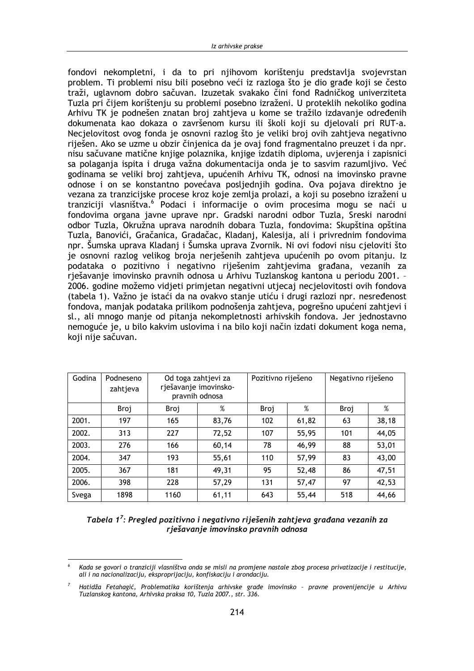fondovi nekompletni, i da to pri njihovom korištenju predstavlja svojevrstan problem. Ti problemi nisu bili posebno veći iz razloga što je dio građe koji se često traži, uglavnom dobro sačuvan. Izuzetak svakako čini fond Radničkog univerziteta Tuzla pri čijem korištenju su problemi posebno izraženi. U proteklih nekoliko godina Arhivu TK je podnešen znatan broj zahtjeva u kome se tražilo izdavanje određenih dokumenata kao dokaza o završenom kursu ili školi koji su djelovali pri RUT-a. Necjelovitost ovog fonda je osnovni razlog što je veliki broj ovih zahtjeva negativno riješen. Ako se uzme u obzir činjenica da je ovaj fond fragmentalno preuzet i da npr. nisu sačuvane matične knjige polaznika, knjige izdatih diploma, uvjerenja i zapisnici sa polaganja ispita i druga važna dokumentacija onda je to sasvim razumljivo. Već godinama se veliki broj zahtjeva, upućenih Arhivu TK, odnosi na imovinsko pravne odnose i on se konstantno povećava posljednjih godina. Ova pojava direktno je vezana za tranzicijske procese kroz koje zemlja prolazi, a koji su posebno izraženi u tranziciji vlasništva.<sup>6</sup> Podaci i informacije o ovim procesima mogu se naći u fondovima organa javne uprave npr. Gradski narodni odbor Tuzla, Sreski narodni odbor Tuzla, Okružna uprava narodnih dobara Tuzla, fondovima: Skupština opština Tuzla, Banovići, Gračanica, Gradačac, Kladanj, Kalesija, ali i privrednim fondovima npr. Šumska uprava Kladanj i Šumska uprava Zvornik. Ni ovi fodovi nisu cjeloviti što je osnovni razlog velikog broja nerješenih zahtjeva upućenih po ovom pitanju. Iz podataka o pozitivno i negativno riješenim zahtjevima građana, vezanih za rješavanje imovinsko pravnih odnosa u Arhivu Tuzlanskog kantona u periodu 2001. -2006. godine možemo vidjeti primjetan negativni utjecaj necjelovitosti ovih fondova (tabela 1). Važno je istaći da na ovakvo stanje utiću i drugi razlozi npr. nesređenost fondova, manjak podataka prilikom podnošenja zahtjeva, pogrešno upućeni zahtjevi i sl., ali mnogo manje od pitanja nekompletnosti arhivskih fondova. Jer jednostavno nemoguće je, u bilo kakvim uslovima i na bilo koji način izdati dokument koga nema, koji nije sačuvan.

| Godina | Podneseno<br>zahtjeva | Od toga zahtjevi za | rješavanje imovinsko-<br>pravnih odnosa | Pozitivno riješeno |       | Negativno riješeno |       |
|--------|-----------------------|---------------------|-----------------------------------------|--------------------|-------|--------------------|-------|
|        | Broj                  | Broj                | %                                       | Broj               | %     | Broj               | %     |
| 2001.  | 197                   | 165                 | 83,76                                   | 102                | 61,82 | 63                 | 38,18 |
| 2002.  | 313                   | 227                 | 72,52                                   | 107                | 55,95 | 101                | 44,05 |
| 2003.  | 276                   | 166                 | 60,14                                   | 78                 | 46,99 | 88                 | 53,01 |
| 2004.  | 347                   | 193                 | 55,61                                   | 110                | 57,99 | 83                 | 43,00 |
| 2005.  | 367                   | 181                 | 49,31                                   | 95                 | 52,48 | 86                 | 47,51 |
| 2006.  | 398                   | 228                 | 57,29                                   | 131                | 57,47 | 97                 | 42,53 |
| Svega  | 1898                  | 1160                | 61,11                                   | 643                | 55,44 | 518                | 44,66 |

| Tabela 1 <sup>7</sup> : Pregled pozitivno i negativno riješenih zahtjeva građana vezanih za |
|---------------------------------------------------------------------------------------------|
| rješavanje imovinsko pravnih odnosa                                                         |

Kada se govori o tranziciji vlasništva onda se misli na promjene nastale zbog procesa privatizacije i restitucije, ali i na nacionalizaciju, eksproprijaciju, konfiskaciju i arondaciju.

Hatidža Fetahagić, Problematika korištenja arhivske građe imovinsko - pravne provenijencije u Arhivu Tuzlanskog kantona, Arhivska praksa 10, Tuzla 2007., str. 336.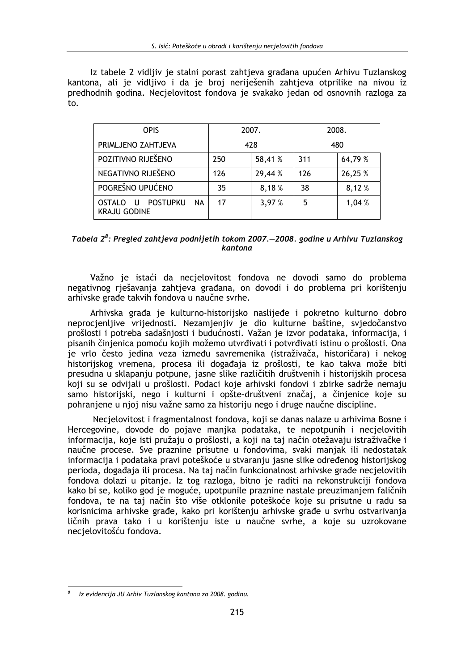Iz tabele 2 vidljiv je stalni porast zahtjeva građana upućen Arhivu Tuzlanskog kantona, ali je vidljivo i da je broj neriješenih zahtjeva otprilike na nivou iz predhodnih godina. Necjelovitost fondova je svakako jedan od osnovnih razloga za to.

| <b>OPIS</b>                                                                            |     | 2007.   | 2008. |         |
|----------------------------------------------------------------------------------------|-----|---------|-------|---------|
| PRIMLJENO ZAHTJEVA                                                                     | 428 |         | 480   |         |
| POZITIVNO RIJEŠENO                                                                     | 250 | 58,41 % | 311   | 64,79 % |
| NEGATIVNO RIJEŠENO                                                                     | 126 | 29,44 % | 126   | 26,25 % |
| POGREŠNO UPUĆENO                                                                       | 35  | 8,18%   | 38    | 8,12%   |
| <b>POSTUPKU</b><br><b>NA</b><br><b>OSTALO</b><br>$\overline{U}$<br><b>KRAJU GODINE</b> | 17  | 3,97 %  | 5     | 1,04 %  |

| Tabela 2 <sup>8</sup> : Pregled zahtjeva podnijetih tokom 2007.–2008. godine u Arhivu Tuzlanskog |  |
|--------------------------------------------------------------------------------------------------|--|
| kantona                                                                                          |  |

Važno je istaći da necjelovitost fondova ne dovodi samo do problema negativnog rješavanja zahtjeva građana, on dovodi i do problema pri korištenju arhivske građe takvih fondova u naučne svrhe.

Arhivska građa je kulturno-historijsko naslijeđe i pokretno kulturno dobro neprocjenljive vrijednosti. Nezamjenjiv je dio kulturne baštine, svjedočanstvo prošlosti i potreba sadašnjosti i budućnosti. Važan je izvor podataka, informacija, i pisanih činjenica pomoću kojih možemo utvrđivati i potvrđivati istinu o prošlosti. Ona je vrlo često jedina veza između savremenika (istraživača, historičara) i nekog historijskog vremena, procesa ili događaja iz prošlosti, te kao takva može biti presudna u sklapanju potpune, jasne slike različitih društvenih i historijskih procesa koji su se odvijali u prošlosti. Podaci koje arhivski fondovi i zbirke sadrže nemaju samo historijski, nego i kulturni i opšte-društveni značaj, a činjenice koje su pohranjene u njoj nisu važne samo za historiju nego i druge naučne discipline.

Necjelovitost i fragmentalnost fondova, koji se danas nalaze u arhivima Bosne i Hercegovine, dovode do pojave manjka podataka, te nepotpunih i necjelovitih informacija, koje isti pružaju o prošlosti, a koji na taj način otežavaju istraživačke i naučne procese. Sve praznine prisutne u fondovima, svaki manjak ili nedostatak informacija i podataka pravi poteškoće u stvaranju jasne slike određenog historijskog perioda, događaja ili procesa. Na taj način funkcionalnost arhivske građe necjelovitih fondova dolazi u pitanie. Iz tog razloga, bitno je raditi na rekonstrukciji fondova kako bi se, koliko god je moguće, upotpunile praznine nastale preuzimanjem faličnih fondova, te na taj način što više otklonile poteškoće koje su prisutne u radu sa korisnicima arhivske građe, kako pri korištenju arhivske građe u svrhu ostvarivanja ličnih prava tako i u korištenju iste u naučne svrhe, a koje su uzrokovane necjelovitošću fondova.

Iz evidencija JU Arhiv Tuzlanskog kantona za 2008. godinu.